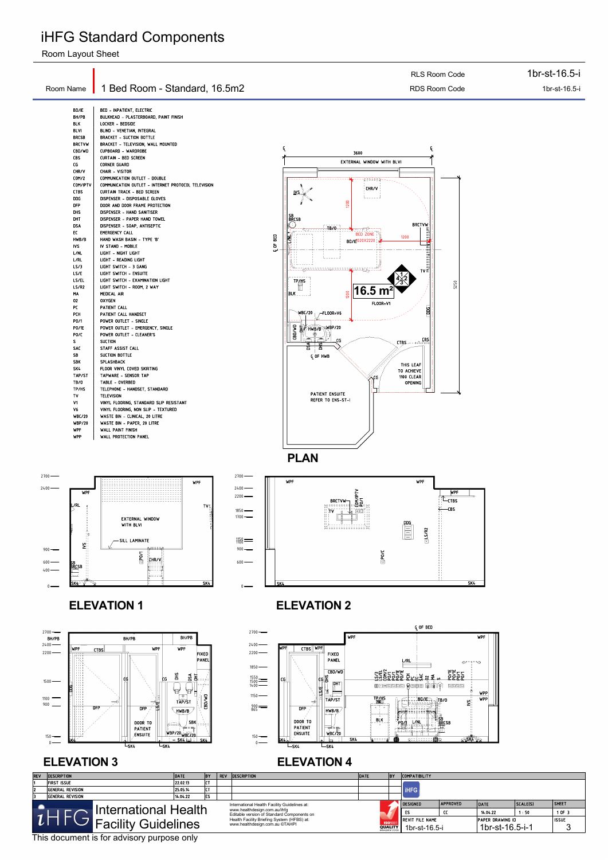$2400 -$ 2700 CL OF BED WPF WPF CTBS WPF WPF







#### **ELEVATION 3** ELEVATION 4

# iHFG Standard Components

Room Layout Sheet

This document is for advisory purpose only

|                                                                                                                                                                                                                                                                                                                                                                                                                                                                                          |                                                                                                                                                                                                                                                                                                                                                                                                                                                                                                                                                                                                                                                                                                                                                                                                                                                                                                                                                                                                                                                                                                                                                                                                                                                                                                                                                                                                                             | RLS Room Code                                                                                                                                                                                                                                                                                                                                                                                                                                                                                                                                                                                                                                                                                                                                | 1br-st-16.5-i                      |
|------------------------------------------------------------------------------------------------------------------------------------------------------------------------------------------------------------------------------------------------------------------------------------------------------------------------------------------------------------------------------------------------------------------------------------------------------------------------------------------|-----------------------------------------------------------------------------------------------------------------------------------------------------------------------------------------------------------------------------------------------------------------------------------------------------------------------------------------------------------------------------------------------------------------------------------------------------------------------------------------------------------------------------------------------------------------------------------------------------------------------------------------------------------------------------------------------------------------------------------------------------------------------------------------------------------------------------------------------------------------------------------------------------------------------------------------------------------------------------------------------------------------------------------------------------------------------------------------------------------------------------------------------------------------------------------------------------------------------------------------------------------------------------------------------------------------------------------------------------------------------------------------------------------------------------|----------------------------------------------------------------------------------------------------------------------------------------------------------------------------------------------------------------------------------------------------------------------------------------------------------------------------------------------------------------------------------------------------------------------------------------------------------------------------------------------------------------------------------------------------------------------------------------------------------------------------------------------------------------------------------------------------------------------------------------------|------------------------------------|
| Room Name                                                                                                                                                                                                                                                                                                                                                                                                                                                                                | 1 Bed Room - Standard, 16.5m2                                                                                                                                                                                                                                                                                                                                                                                                                                                                                                                                                                                                                                                                                                                                                                                                                                                                                                                                                                                                                                                                                                                                                                                                                                                                                                                                                                                               | RDS Room Code                                                                                                                                                                                                                                                                                                                                                                                                                                                                                                                                                                                                                                                                                                                                | 1br-st-16.5-i                      |
| BD/IE<br>BH/PB<br><b>BLK</b><br><b>BLVI</b><br><b>BRCSB</b><br><b>BRCTVW</b><br>CBD/WD<br>CBS<br>CG.<br>CHR/V<br>COM/2<br>COM/IPTV<br><b>CTBS</b><br>DDG<br><b>DFP</b><br>dhs<br>DHT<br><b>DSA</b><br>EC.<br>HWB/B<br><b>IVS</b><br>L/NL<br>L/RL<br>LS/3<br>LS/E<br>LS/EL<br>LS/R2<br>MA<br>02<br>PC<br>PCH<br>P0/1<br><b>PO/1E</b><br>PO/C<br>S.<br>SAC<br>SB<br><b>SBK</b><br>SK4<br>TAP/ST<br>TB/O<br>TP/HS<br>TV.<br>V1<br>V6<br>WBC/20<br><b>WBP/20</b><br><b>WPF</b><br><b>WPP</b> | <b>BED - INPATIENT, ELECTRIC</b><br>BULKHEAD - PLASTERBOARD, PAINT FINISH<br>Locker – Bedside<br>BLIND - VENETIAN, INTEGRAL<br><b>BRACKET - SUCTION BOTTLE</b><br><b>BRACKET - TELEVISION, WALL MOUNTED</b><br>CUPBOARD - WARDROBE<br><b>CURTAIN - BED SCREEN</b><br>Corner Guard<br>CHAIR - VISITOR<br>COMMUNICATION OUTLET - DOUBLE<br>COMMUNICATION OUTLET - INTERNET PROTOCOL TELEVISION<br>CURTAIN TRACK - BED SCREEN<br>DISPENSER - DISPOSABLE GLOVES<br>DOOR AND DOOR FRAME PROTECTION<br>DISPENSER - HAND SANITISER<br>DISPENSER - PAPER HAND TOWEL<br>DISPENSER - SOAP, ANTISEPTIC<br><b>EMERGENCY CALL</b><br>HAND WASH BASIN - TYPE 'B'<br>IV STAND - MOBILE<br>LIGHT - NIGHT LIGHT<br>LIGHT - READING LIGHT<br>LIGHT SWITCH - 3 GANG<br>LIGHT SWITCH - ENSUITE<br>LIGHT SWITCH - EXAMINATION LIGHT<br>LIGHT SWITCH - ROOM, 2 WAY<br>MEDICAL AIR<br><b>OXYGEN</b><br>PATIENT CALL<br>PATIENT CALL HANDSET<br>POWER OUTLET - SINGLE<br>POWER OUTLET - EMERGENCY, SINGLE<br>POWER OUTLET - CLEANER'S<br><b>SUCTION</b><br>STAFF ASSIST CALL<br>SUCTION BOTTLE<br>SPLASHBACK<br>FLOOR VINYL COVED SKIRTING<br>TAPWARE - SENSOR TAP<br>TABLE - OVERBED<br>TELEPHONE - HANDSET, STANDARD<br><b>TELEVISION</b><br>VINYL FLOORING, STANDARD SLIP RESISTANT<br>VINYL FLOORING, NON SLIP - TEXTURED<br>WASTE BIN - CLINICAL, 20 LITRE<br>WASTE BIN - PAPER, 20 LITRE<br><b>WALL PAINT FINISH</b><br>WALL PROTECTION PANEL | £<br>Ģ<br>3600<br>EXTERNAL WINDOW WITH BLVI<br>gaalaas<br>CHR/V<br><u> IVS ∖</u><br>.<br>1200<br><b>SB</b><br>BRCSB<br><b>BRCTVW</b><br>kf ∷`<br>TB/0<br>$\bigstar$ - Feb<br>$\overline{\mathcal{N}}$ $\mathcal{F}$ $\mathcal{F}$ $\mathcal{F}$ $\mathcal{F}$<br><b>BED ZONE</b><br>OF BED<br>1200<br>₹<br><b>BD/I<sup>-1020X2220</sup></b><br>ىى<br><sup>w</sup> wi-pasatatatatagaadda<br>TP/HS<br>D<br>16.5 $m2$<br>1200<br>BLK<br><b>FLOOR=V1</b><br>g<br>$WBC/20$ $/$ FL00R=V6<br>CD/WD<br>HWB/B WBP/20<br>سيرت<br><b>CTBS</b> -------CBS<br>$\frac{1}{2}$<br>CG.<br><u>- və</u><br>ᅙ<br><b>Q</b> OF HWB<br>THIS LEAF<br>TO ACHIEVE<br>1100 CLEAR<br>√CG<br>OPENING<br><b>PATIENT ENSUITE</b><br><b>REFER TO ENS-ST-I</b><br><b>PLAN</b> | 5250                               |
| $2700 -$<br>$2400 -$<br><b>WPF</b><br>L/RL<br>뿐<br>$\tilde{\mathbf{x}}$<br>$900$ —<br>$600$ –<br>bb<br>B <u>rc</u> se<br>$400 -$<br>lsk≰∂<br>$\mathbf{0}$                                                                                                                                                                                                                                                                                                                                | WPF<br>TVI.<br><b>EXTERNAL WINDOW</b><br>WITH BLVI<br>-SILL LAMINATE<br>$\sum_{i=1}^{n}$<br><b>CHR/V</b><br>片コココ<br>SK4                                                                                                                                                                                                                                                                                                                                                                                                                                                                                                                                                                                                                                                                                                                                                                                                                                                                                                                                                                                                                                                                                                                                                                                                                                                                                                     | $2700 -$<br>WPF<br><b>WPF</b><br>$2400 -$<br>$2200 -$<br><b>BRCTVW</b><br>ाणि<br>$1850 -$<br>81<br>$1700 -$<br>$\begin{tabular}{ c c } \hline \rule{0pt}{3ex} \rule{0pt}{3ex} \rule{0pt}{3ex} \rule{0pt}{3ex} \rule{0pt}{3ex} \rule{0pt}{3ex} \rule{0pt}{3ex} \rule{0pt}{3ex} \rule{0pt}{3ex} \rule{0pt}{3ex} \rule{0pt}{3ex} \rule{0pt}{3ex} \rule{0pt}{3ex} \rule{0pt}{3ex} \rule{0pt}{3ex} \rule{0pt}{3ex} \rule{0pt}{3ex} \rule{0pt}{3ex} \rule{0pt}{3ex} \rule{0pt}{3ex} \rule{0pt}{3ex} \rule{0pt}{3ex} \rule{0pt}{3$<br>lSeesseesseeseell<br>SLSR<br>$1158$ =<br>$900$ —<br>$\rule{1.5mm}{0.0mm}$<br>$600$ –<br>SK4                                                                                                                   | <b>WPF</b><br>—CTBS<br>-CBS<br>SK4 |
|                                                                                                                                                                                                                                                                                                                                                                                                                                                                                          | <b>ELEVATION 1</b>                                                                                                                                                                                                                                                                                                                                                                                                                                                                                                                                                                                                                                                                                                                                                                                                                                                                                                                                                                                                                                                                                                                                                                                                                                                                                                                                                                                                          | <b>ELEVATION 2</b>                                                                                                                                                                                                                                                                                                                                                                                                                                                                                                                                                                                                                                                                                                                           |                                    |

| <b>REV</b>                                         | <b>DATE</b><br><b>DESCRIPTION</b>            |          |                                |  | <b>DESCRIPTION</b>                                                         | DATE          | <b>BY</b>       | <b>COMPATIBILITY</b>   |                 |                         |          |              |
|----------------------------------------------------|----------------------------------------------|----------|--------------------------------|--|----------------------------------------------------------------------------|---------------|-----------------|------------------------|-----------------|-------------------------|----------|--------------|
|                                                    | <b>FIRST ISSUE</b>                           | 22.02.13 |                                |  |                                                                            |               |                 |                        |                 |                         |          |              |
|                                                    | <b>GENERAL REVISION</b>                      |          | יש                             |  |                                                                            |               |                 | <b>IHFG</b>            |                 |                         |          |              |
|                                                    | <b>GENERAL REVISION</b>                      | 14.04.22 | IES.                           |  |                                                                            |               |                 |                        |                 |                         |          |              |
| $\overline{\phantom{a}}$                           | International Health Facility Guidelines at: |          |                                |  |                                                                            |               |                 |                        | <b>APPROVED</b> | DATE                    | SCALE(S) | <b>SHEET</b> |
| International Health<br><b>Facility Guidelines</b> |                                              |          |                                |  | www.healthdesign.com.au/ihfg<br>Editable version of Standard Components on |               |                 |                        |                 | 14.04.22                | 1:50     | 1 OF 3       |
|                                                    |                                              |          |                                |  | Health Facility Briefing System (HFBS) at:                                 |               |                 | <b>REVIT FILE NAME</b> |                 | <b>PAPER DRAWING ID</b> |          | <b>ISSUE</b> |
|                                                    |                                              |          | www.healthdesign.com.au ©TAHPI |  | <b>ISO</b> 900<br><b>QUALITY</b>                                           | 1br-st-16.5-i | 1br-st-16.5-i-1 |                        |                 |                         |          |              |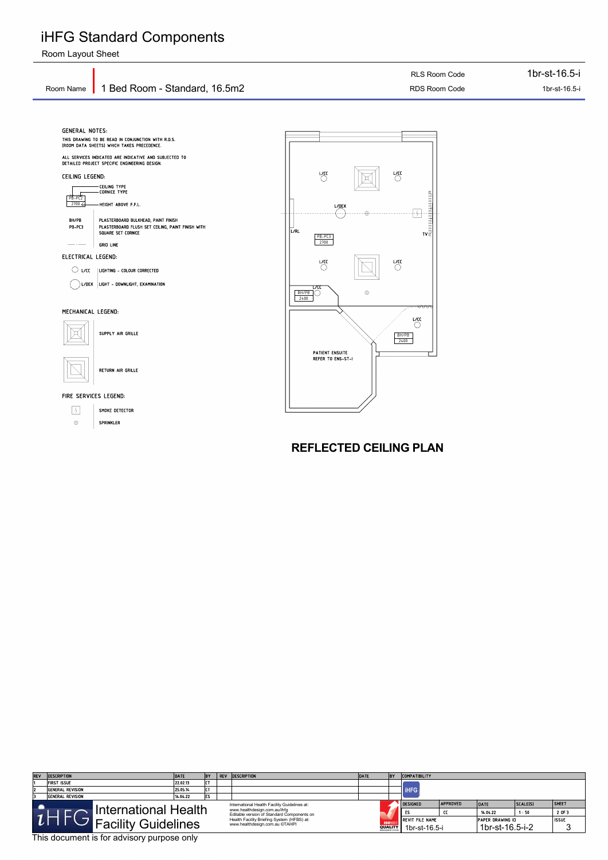GRID LINE

 $\bigcirc$  l/cc  $\,$   $\,$   $\mid$  lighting – colour corrected  $\sigma$  L/DEX LIGHT - DOWNLIGHT, EXAMINATION

HEIGHT ABOVE F.F.L.

ELECTRICAL LEGEND:

PR- $2700 \leftarrow$ 

L



 $\circledcirc$ 



#### FIRE SERVICES LEGEND:



SUPPLY AIR GRILLE

SPRINKLER

RETURN AIR GRILLE





## iHFG Standard Components

Room Layout Sheet

This document is for advisory purpose only

| <b>REV</b>                                   | <b>DESCRIPTION</b>          | DATE     | <b>BY</b>    | REV | <b>DESCRIPTION</b>                                                         | DATE | <b>BY</b>      | <b>COMPATIBILITY</b>    |                 |                         |          |              |
|----------------------------------------------|-----------------------------|----------|--------------|-----|----------------------------------------------------------------------------|------|----------------|-------------------------|-----------------|-------------------------|----------|--------------|
|                                              | First Issue                 | 22.02.13 | l – –<br>. . |     |                                                                            |      |                |                         |                 |                         |          |              |
|                                              | General Revision            | 25.05.14 | <u>.</u>     |     |                                                                            |      |                | <b>IHFG</b>             |                 |                         |          |              |
|                                              | General Revision            | 14 04 22 | IES.         |     |                                                                            |      |                |                         |                 |                         |          |              |
| International Health Facility Guidelines at: |                             |          |              |     |                                                                            |      |                | <b>DESIGNED</b>         | <b>APPROVED</b> | DATE                    | SCALE(S) | <b>SHEET</b> |
|                                              | <b>International Health</b> |          |              |     | www.healthdesign.com.au/ihfg<br>Editable version of Standard Components on |      |                |                         | œ               | 14.04.22                | 1:50     | 2 OF 3       |
| <sup>'</sup> Facility Guidelines             |                             |          |              |     | Health Facility Briefing System (HFBS) at:                                 |      | <b>ISO</b> 900 | <b>IREVIT FILE NAME</b> |                 | <b>PAPER DRAWING ID</b> |          |              |
|                                              |                             |          |              |     | www.healthdesign.com.au ©TAHPI                                             |      | <b>QUALITY</b> | 1br-st-16.5-i           |                 | 1br-st-16.5-i-2         |          |              |

PB-PC3 PLASTERBOARD FLUSH SET CEILING, PAINT FINISH WITH

SQUARE SET CORNICE

BH/PB PLASTERBOARD BULKHEAD, PAINT FINISH

**REFLECTED CEILING PLAN**